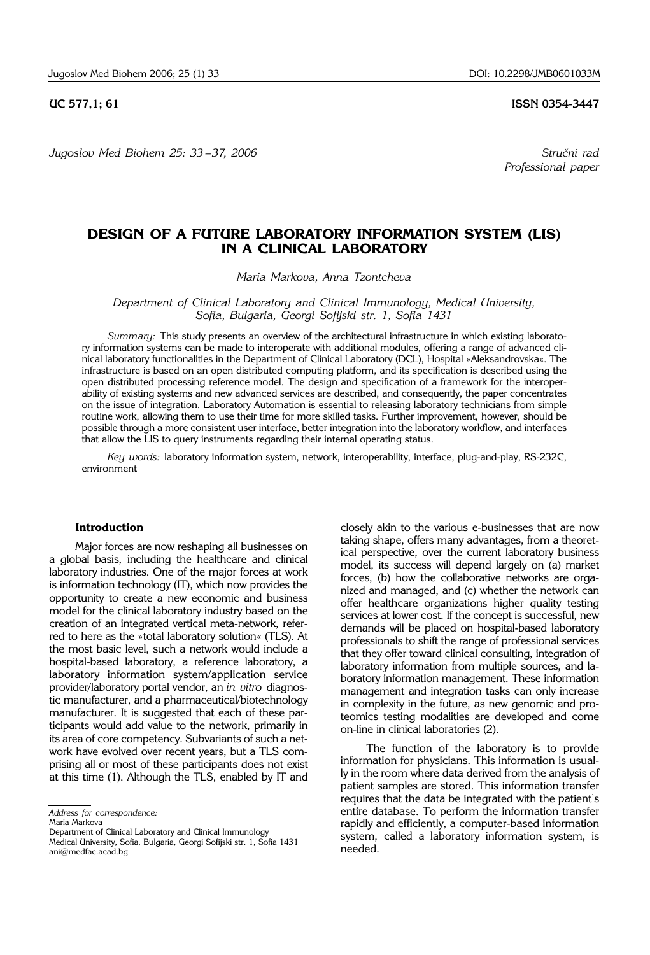*Jugoslov Med Biohem 25: 33 – 37, 2006 Stru~ni rad* 

**UC 577,1; 61 ISSN 0354-3447** 

*Professional paper*

# **DESIGN OF A FUTURE LABORATORY INFORMATION SYSTEM (LIS) IN A CLINICAL LABORATORY**

*Maria Markova, Anna Tzontcheva*

*Department of Clinical Laboratory and Clinical Immunology, Medical University, Sofia, Bulgaria, Georgi Sofijski str. 1, Sofia 1431* 

*Summary:* This study presents an overview of the architectural infrastructure in which existing laboratory information systems can be made to interoperate with additional modules, offering a range of advanced clinical laboratory functionalities in the Department of Clinical Laboratory (DCL), Hospital »Aleksandrovska«. The infrastructure is based on an open distributed computing platform, and its specification is described using the open distributed processing reference model. The design and specification of a framework for the interoperability of existing systems and new advanced services are described, and consequently, the paper concentrates on the issue of integration. Laboratory Automation is essential to releasing laboratory technicians from simple routine work, allowing them to use their time for more skilled tasks. Further improvement, however, should be possible through a more consistent user interface, better integration into the laboratory workflow, and interfaces that allow the LIS to query instruments regarding their internal operating status.

*Key words:* laboratory information system, network, interoperability, interface, plug-and-play, RS-232C, environment

# **Introduction**

Major forces are now reshaping all businesses on a global basis, including the healthcare and clinical laboratory industries. One of the major forces at work is information technology (IT), which now provides the opportunity to create a new economic and business model for the clinical laboratory industry based on the creation of an integrated vertical meta-network, referred to here as the »total laboratory solution« (TLS). At the most basic level, such a network would include a hospital-based laboratory, a reference laboratory, a laboratory information system/application service provider/laboratory portal vendor, an *in vitro* diagnostic manufacturer, and a pharmaceutical/biotechnology manufacturer. It is suggested that each of these participants would add value to the network, primarily in its area of core competency. Subvariants of such a network have evolved over recent years, but a TLS comprising all or most of these participants does not exist at this time (1). Although the TLS, enabled by IT and closely akin to the various e-businesses that are now taking shape, offers many advantages, from a theoretical perspective, over the current laboratory business model, its success will depend largely on (a) market forces, (b) how the collaborative networks are organized and managed, and (c) whether the network can offer healthcare organizations higher quality testing services at lower cost. If the concept is successful, new demands will be placed on hospital-based laboratory professionals to shift the range of professional services that they offer toward clinical consulting, integration of laboratory information from multiple sources, and laboratory information management. These information management and integration tasks can only increase in complexity in the future, as new genomic and proteomics testing modalities are developed and come on-line in clinical laboratories (2).

The function of the laboratory is to provide information for physicians. This information is usually in the room where data derived from the analysis of patient samples are stored. This information transfer requires that the data be integrated with the patient's entire database. To perform the information transfer rapidly and efficiently, a computer-based information system, called a laboratory information system, is needed.

*Address for correspondence:* 

Maria Markova

Department of Clinical Laboratory and Clinical Immunology Medical University, Sofia, Bulgaria, Georgi Sofijski str. 1, Sofia 1431

ani@medfac.acad.bg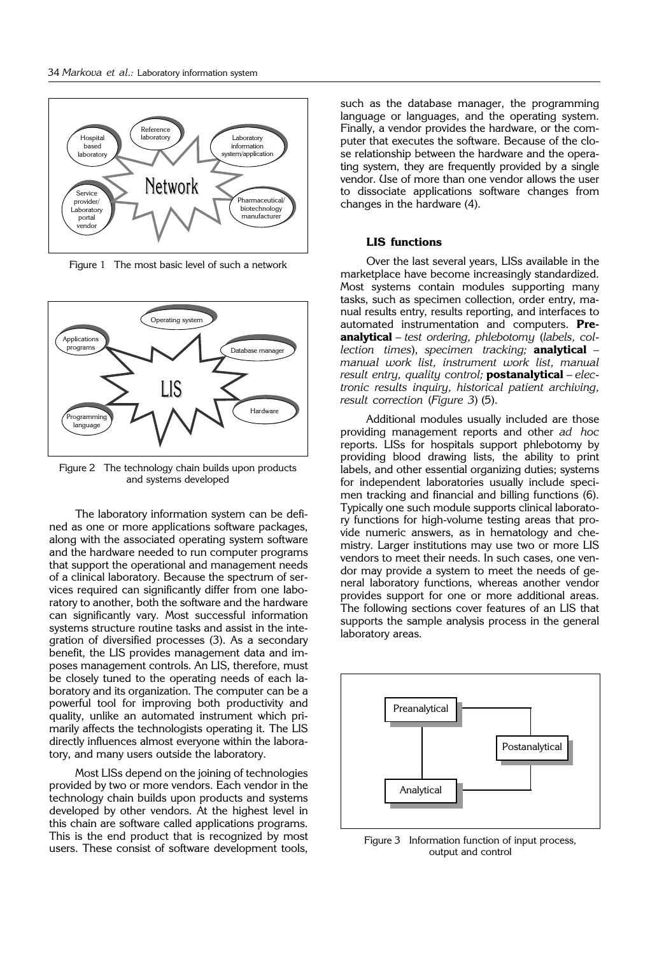

Figure 1 The most basic level of such a network



Figure 2 The technology chain builds upon products and systems developed

The laboratory information system can be defined as one or more applications software packages, along with the associated operating system software and the hardware needed to run computer programs that support the operational and management needs of a clinical laboratory. Because the spectrum of services required can significantly differ from one laboratory to another, both the software and the hardware can significantly vary. Most successful information systems structure routine tasks and assist in the integration of diversified processes (3). As a secondary benefit, the LIS provides management data and imposes management controls. An LIS, therefore, must be closely tuned to the operating needs of each laboratory and its organization. The computer can be a powerful tool for improving both productivity and quality, unlike an automated instrument which primarily affects the technologists operating it. The LIS directly influences almost everyone within the laboratory, and many users outside the laboratory.

Most LISs depend on the joining of technologies provided by two or more vendors. Each vendor in the technology chain builds upon products and systems developed by other vendors. At the highest level in this chain are software called applications programs. This is the end product that is recognized by most users. These consist of software development tools,

such as the database manager, the programming language or languages, and the operating system. Finally, a vendor provides the hardware, or the computer that executes the software. Because of the close relationship between the hardware and the operating system, they are frequently provided by a single vendor. Use of more than one vendor allows the user to dissociate applications software changes from changes in the hardware (4).

# **LIS functions**

Over the last several years, LISs available in the marketplace have become increasingly standardized. Most systems contain modules supporting many tasks, such as specimen collection, order entry, manual results entry, results reporting, and interfaces to automated instrumentation and computers. **Preanalytical** – *test ordering, phlebotomy* (*labels, collection times*), *specimen tracking;* **analytical** – *manual work list, instrument work list, manual result entry, quality control;* **postanalytical** – *electronic results inquiry, historical patient archiving, result correction* (*Figure 3*) (5).

Additional modules usually included are those providing management reports and other *ad hoc* reports. LISs for hospitals support phlebotomy by providing blood drawing lists, the ability to print labels, and other essential organizing duties; systems for independent laboratories usually include specimen tracking and financial and billing functions (6). Typically one such module supports clinical laboratory functions for high-volume testing areas that provide numeric answers, as in hematology and chemistry. Larger institutions may use two or more LIS vendors to meet their needs. In such cases, one vendor may provide a system to meet the needs of general laboratory functions, whereas another vendor provides support for one or more additional areas. The following sections cover features of an LIS that supports the sample analysis process in the general laboratory areas.



Figure 3 Information function of input process, output and control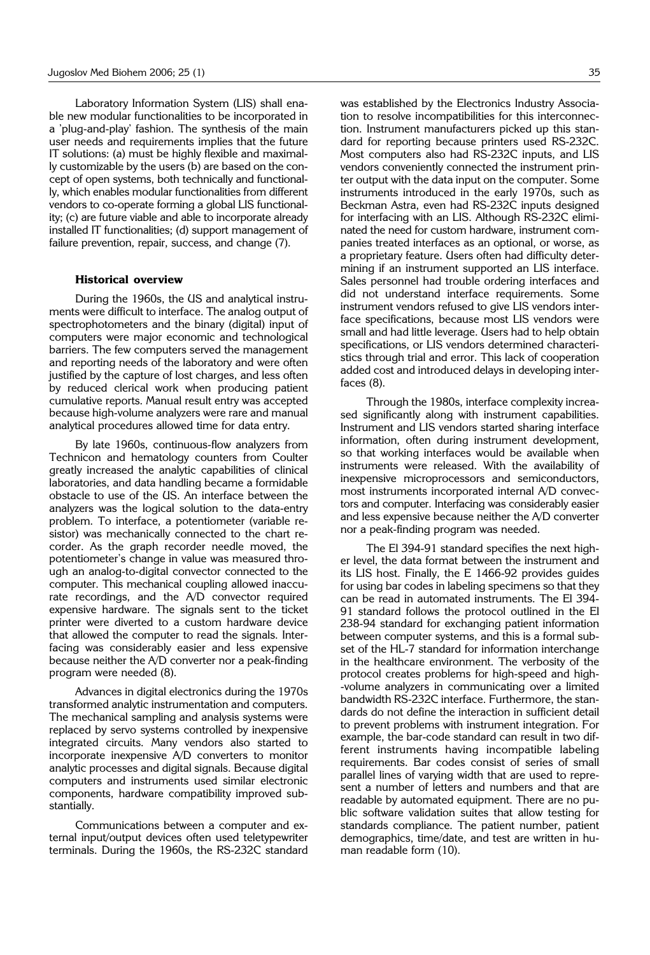Laboratory Information System (LIS) shall enable new modular functionalities to be incorporated in a 'plug-and-play' fashion. The synthesis of the main user needs and requirements implies that the future IT solutions: (a) must be highly flexible and maximally customizable by the users (b) are based on the concept of open systems, both technically and functionally, which enables modular functionalities from different vendors to co-operate forming a global LIS functionality; (c) are future viable and able to incorporate already installed IT functionalities; (d) support management of failure prevention, repair, success, and change (7).

### **Historical overview**

During the 1960s, the US and analytical instruments were difficult to interface. The analog output of spectrophotometers and the binary (digital) input of computers were major economic and technological barriers. The few computers served the management and reporting needs of the laboratory and were often justified by the capture of lost charges, and less often by reduced clerical work when producing patient cumulative reports. Manual result entry was accepted because high-volume analyzers were rare and manual analytical procedures allowed time for data entry.

By late 1960s, continuous-flow analyzers from Technicon and hematology counters from Coulter greatly increased the analytic capabilities of clinical laboratories, and data handling became a formidable obstacle to use of the US. An interface between the analyzers was the logical solution to the data-entry problem. To interface, a potentiometer (variable resistor) was mechanically connected to the chart recorder. As the graph recorder needle moved, the potentiometer's change in value was measured through an analog-to-digital convector connected to the computer. This mechanical coupling allowed inaccurate recordings, and the A/D convector required expensive hardware. The signals sent to the ticket printer were diverted to a custom hardware device that allowed the computer to read the signals. Interfacing was considerably easier and less expensive because neither the A/D converter nor a peak-finding program were needed (8).

Advances in digital electronics during the 1970s transformed analytic instrumentation and computers. The mechanical sampling and analysis systems were replaced by servo systems controlled by inexpensive integrated circuits. Many vendors also started to incorporate inexpensive A/D converters to monitor analytic processes and digital signals. Because digital computers and instruments used similar electronic components, hardware compatibility improved substantially.

Communications between a computer and external input/output devices often used teletypewriter terminals. During the 1960s, the RS-232C standard

was established by the Electronics Industry Association to resolve incompatibilities for this interconnection. Instrument manufacturers picked up this standard for reporting because printers used RS-232C. Most computers also had RS-232C inputs, and LIS vendors conveniently connected the instrument printer output with the data input on the computer. Some instruments introduced in the early 1970s, such as Beckman Astra, even had RS-232C inputs designed for interfacing with an LIS. Although RS-232C eliminated the need for custom hardware, instrument companies treated interfaces as an optional, or worse, as a proprietary feature. Users often had difficulty determining if an instrument supported an LIS interface. Sales personnel had trouble ordering interfaces and did not understand interface requirements. Some instrument vendors refused to give LIS vendors interface specifications, because most LIS vendors were small and had little leverage. Users had to help obtain specifications, or LIS vendors determined characteristics through trial and error. This lack of cooperation added cost and introduced delays in developing interfaces (8).

Through the 1980s, interface complexity increased significantly along with instrument capabilities. Instrument and LIS vendors started sharing interface information, often during instrument development, so that working interfaces would be available when instruments were released. With the availability of inexpensive microprocessors and semiconductors, most instruments incorporated internal A/D convectors and computer. Interfacing was considerably easier and less expensive because neither the A/D converter nor a peak-finding program was needed.

The El 394-91 standard specifies the next higher level, the data format between the instrument and its LIS host. Finally, the E 1466-92 provides guides for using bar codes in labeling specimens so that they can be read in automated instruments. The El 394- 91 standard follows the protocol outlined in the El 238-94 standard for exchanging patient information between computer systems, and this is a formal subset of the HL-7 standard for information interchange in the healthcare environment. The verbosity of the protocol creates problems for high-speed and high- -volume analyzers in communicating over a limited bandwidth RS-232C interface. Furthermore, the standards do not define the interaction in sufficient detail to prevent problems with instrument integration. For example, the bar-code standard can result in two different instruments having incompatible labeling requirements. Bar codes consist of series of small parallel lines of varying width that are used to represent a number of letters and numbers and that are readable by automated equipment. There are no public software validation suites that allow testing for standards compliance. The patient number, patient demographics, time/date, and test are written in human readable form (10).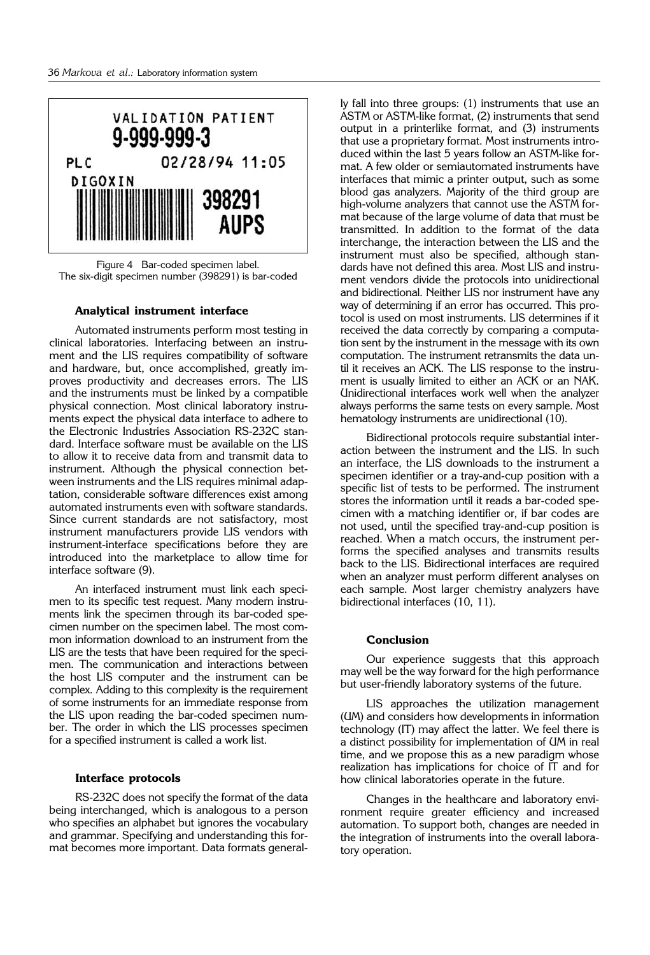

Figure 4 Bar-coded specimen label. The six-digit specimen number (398291) is bar-coded

### **Analytical instrument interface**

Automated instruments perform most testing in clinical laboratories. Interfacing between an instrument and the LIS requires compatibility of software and hardware, but, once accomplished, greatly improves productivity and decreases errors. The LIS and the instruments must be linked by a compatible physical connection. Most clinical laboratory instruments expect the physical data interface to adhere to the Electronic Industries Association RS-232C standard. Interface software must be available on the LIS to allow it to receive data from and transmit data to instrument. Although the physical connection between instruments and the LIS requires minimal adaptation, considerable software differences exist among automated instruments even with software standards. Since current standards are not satisfactory, most instrument manufacturers provide LIS vendors with instrument-interface specifications before they are introduced into the marketplace to allow time for interface software (9).

An interfaced instrument must link each specimen to its specific test request. Many modern instruments link the specimen through its bar-coded specimen number on the specimen label. The most common information download to an instrument from the LIS are the tests that have been required for the specimen. The communication and interactions between the host LIS computer and the instrument can be complex. Adding to this complexity is the requirement of some instruments for an immediate response from the LIS upon reading the bar-coded specimen number. The order in which the LIS processes specimen for a specified instrument is called a work list.

### **Interface protocols**

RS-232C does not specify the format of the data being interchanged, which is analogous to a person who specifies an alphabet but ignores the vocabulary and grammar. Specifying and understanding this format becomes more important. Data formats generally fall into three groups: (1) instruments that use an ASTM or ASTM-like format, (2) instruments that send output in a printerlike format, and (3) instruments that use a proprietary format. Most instruments introduced within the last 5 years follow an ASTM-like format. A few older or semiautomated instruments have interfaces that mimic a printer output, such as some blood gas analyzers. Majority of the third group are high-volume analyzers that cannot use the ASTM format because of the large volume of data that must be transmitted. In addition to the format of the data interchange, the interaction between the LIS and the instrument must also be specified, although standards have not defined this area. Most LIS and instrument vendors divide the protocols into unidirectional and bidirectional. Neither LIS nor instrument have any way of determining if an error has occurred. This protocol is used on most instruments. LIS determines if it received the data correctly by comparing a computation sent by the instrument in the message with its own computation. The instrument retransmits the data until it receives an ACK. The LIS response to the instrument is usually limited to either an ACK or an NAK. Unidirectional interfaces work well when the analyzer always performs the same tests on every sample. Most hematology instruments are unidirectional (10).

Bidirectional protocols require substantial interaction between the instrument and the LIS. In such an interface, the LIS downloads to the instrument a specimen identifier or a tray-and-cup position with a specific list of tests to be performed. The instrument stores the information until it reads a bar-coded specimen with a matching identifier or, if bar codes are not used, until the specified tray-and-cup position is reached. When a match occurs, the instrument performs the specified analyses and transmits results back to the LIS. Bidirectional interfaces are required when an analyzer must perform different analyses on each sample. Most larger chemistry analyzers have bidirectional interfaces (10, 11).

# **Conclusion**

Our experience suggests that this approach may well be the way forward for the high performance but user-friendly laboratory systems of the future.

LIS approaches the utilization management (UM) and considers how developments in information technology (IT) may affect the latter. We feel there is a distinct possibility for implementation of UM in real time, and we propose this as a new paradigm whose realization has implications for choice of IT and for how clinical laboratories operate in the future.

Changes in the healthcare and laboratory environment require greater efficiency and increased automation. To support both, changes are needed in the integration of instruments into the overall laboratory operation.